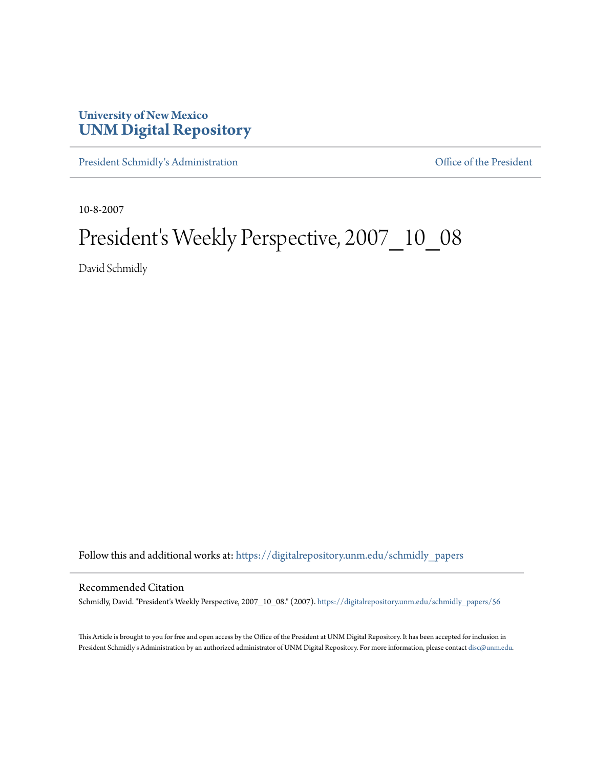# **University of New Mexico [UNM Digital Repository](https://digitalrepository.unm.edu?utm_source=digitalrepository.unm.edu%2Fschmidly_papers%2F56&utm_medium=PDF&utm_campaign=PDFCoverPages)**

[President Schmidly's Administration](https://digitalrepository.unm.edu/schmidly_papers?utm_source=digitalrepository.unm.edu%2Fschmidly_papers%2F56&utm_medium=PDF&utm_campaign=PDFCoverPages) [Office of the President](https://digitalrepository.unm.edu/ofc_president?utm_source=digitalrepository.unm.edu%2Fschmidly_papers%2F56&utm_medium=PDF&utm_campaign=PDFCoverPages)

10-8-2007

# President's Weekly Perspective, 2007\_10\_08

David Schmidly

Follow this and additional works at: [https://digitalrepository.unm.edu/schmidly\\_papers](https://digitalrepository.unm.edu/schmidly_papers?utm_source=digitalrepository.unm.edu%2Fschmidly_papers%2F56&utm_medium=PDF&utm_campaign=PDFCoverPages)

#### Recommended Citation

Schmidly, David. "President's Weekly Perspective, 2007\_10\_08." (2007). [https://digitalrepository.unm.edu/schmidly\\_papers/56](https://digitalrepository.unm.edu/schmidly_papers/56?utm_source=digitalrepository.unm.edu%2Fschmidly_papers%2F56&utm_medium=PDF&utm_campaign=PDFCoverPages)

This Article is brought to you for free and open access by the Office of the President at UNM Digital Repository. It has been accepted for inclusion in President Schmidly's Administration by an authorized administrator of UNM Digital Repository. For more information, please contact [disc@unm.edu](mailto:disc@unm.edu).